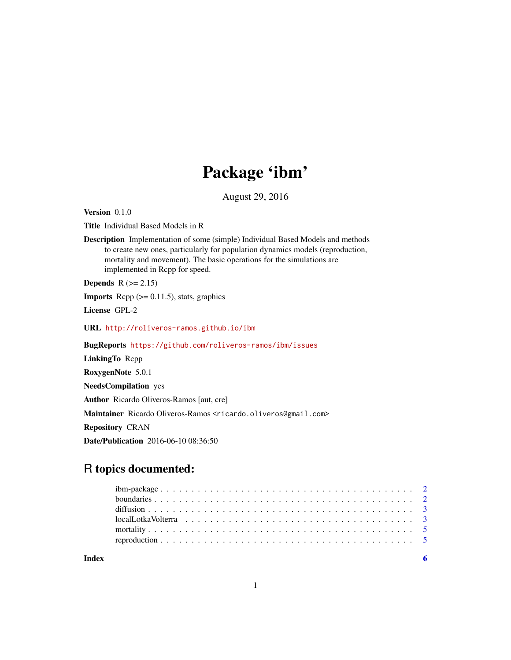## Package 'ibm'

August 29, 2016

Version 0.1.0

Title Individual Based Models in R

Description Implementation of some (simple) Individual Based Models and methods to create new ones, particularly for population dynamics models (reproduction, mortality and movement). The basic operations for the simulations are implemented in Rcpp for speed.

Depends  $R$  ( $>= 2.15$ )

**Imports** Rcpp  $(>= 0.11.5)$ , stats, graphics

License GPL-2

URL <http://roliveros-ramos.github.io/ibm>

BugReports <https://github.com/roliveros-ramos/ibm/issues>

LinkingTo Rcpp RoxygenNote 5.0.1

NeedsCompilation yes

Author Ricardo Oliveros-Ramos [aut, cre]

Maintainer Ricardo Oliveros-Ramos <ricardo.oliveros@gmail.com>

Repository CRAN

Date/Publication 2016-06-10 08:36:50

### R topics documented:

| Index |  |
|-------|--|
|       |  |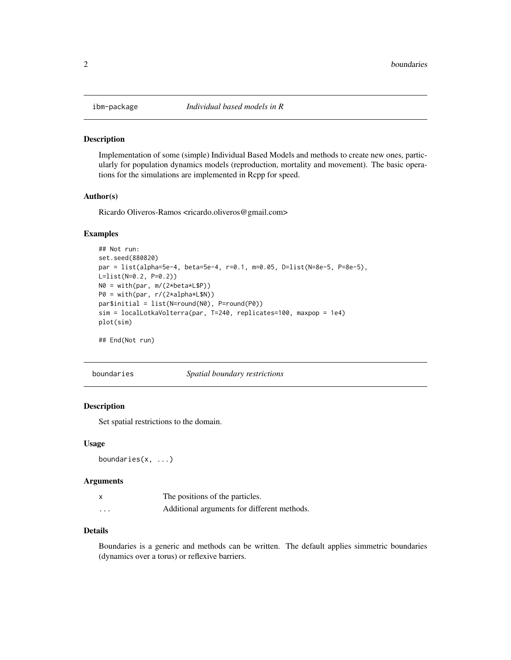<span id="page-1-0"></span>

#### Description

Implementation of some (simple) Individual Based Models and methods to create new ones, particularly for population dynamics models (reproduction, mortality and movement). The basic operations for the simulations are implemented in Rcpp for speed.

#### Author(s)

Ricardo Oliveros-Ramos <ricardo.oliveros@gmail.com>

#### Examples

```
## Not run:
set.seed(880820)
par = list(alpha=5e-4, beta=5e-4, r=0.1, m=0.05, D=list(N=8e-5, P=8e-5),
L=list(N=0.2, P=0.2))
N0 = with(par, m/(2*beta*L$P))
P0 = with(par, r/(2*alpha*L$N))par$initial = list(N=round(N0), P=round(P0))
sim = localLotkaVolterra(par, T=240, replicates=100, maxpop = 1e4)
plot(sim)
```
## End(Not run)

boundaries *Spatial boundary restrictions*

#### Description

Set spatial restrictions to the domain.

#### Usage

boundaries(x, ...)

#### Arguments

|         | The positions of the particles.             |
|---------|---------------------------------------------|
| $\cdot$ | Additional arguments for different methods. |

#### Details

Boundaries is a generic and methods can be written. The default applies simmetric boundaries (dynamics over a torus) or reflexive barriers.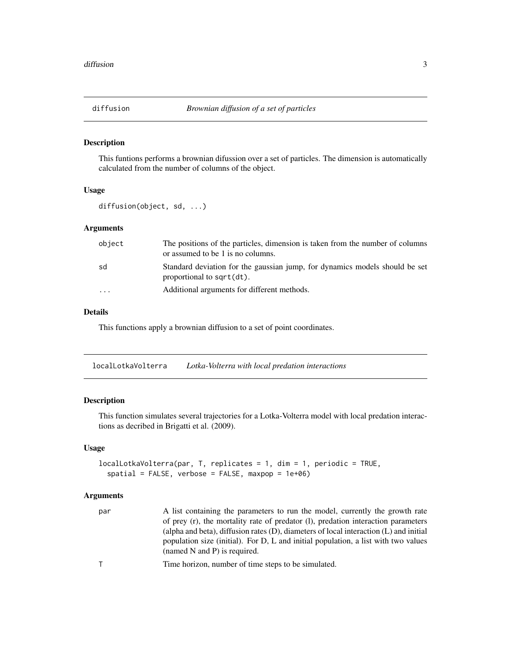<span id="page-2-0"></span>

#### Description

This funtions performs a brownian difussion over a set of particles. The dimension is automatically calculated from the number of columns of the object.

#### Usage

diffusion(object, sd, ...)

#### Arguments

| object                  | The positions of the particles, dimension is taken from the number of columns<br>or assumed to be 1 is no columns. |
|-------------------------|--------------------------------------------------------------------------------------------------------------------|
| sd                      | Standard deviation for the gaussian jump, for dynamics models should be set<br>proportional to sqrt(dt).           |
| $\cdot$ $\cdot$ $\cdot$ | Additional arguments for different methods.                                                                        |

#### Details

This functions apply a brownian diffusion to a set of point coordinates.

localLotkaVolterra *Lotka-Volterra with local predation interactions*

#### Description

This function simulates several trajectories for a Lotka-Volterra model with local predation interactions as decribed in Brigatti et al. (2009).

#### Usage

```
localLotkaVolterra(par, T, replicates = 1, dim = 1, periodic = TRUE,
  spatial = FALSE, verbose = FALSE, maxpop = 1e+06)
```
#### Arguments

| par          | A list containing the parameters to run the model, currently the growth rate<br>of prey (r), the mortality rate of predator (1), predation interaction parameters<br>(alpha and beta), diffusion rates $(D)$ , diameters of local interaction $(L)$ and initial<br>population size (initial). For D, L and initial population, a list with two values<br>(named N and P) is required. |
|--------------|---------------------------------------------------------------------------------------------------------------------------------------------------------------------------------------------------------------------------------------------------------------------------------------------------------------------------------------------------------------------------------------|
| $\mathsf{T}$ | Time horizon, number of time steps to be simulated.                                                                                                                                                                                                                                                                                                                                   |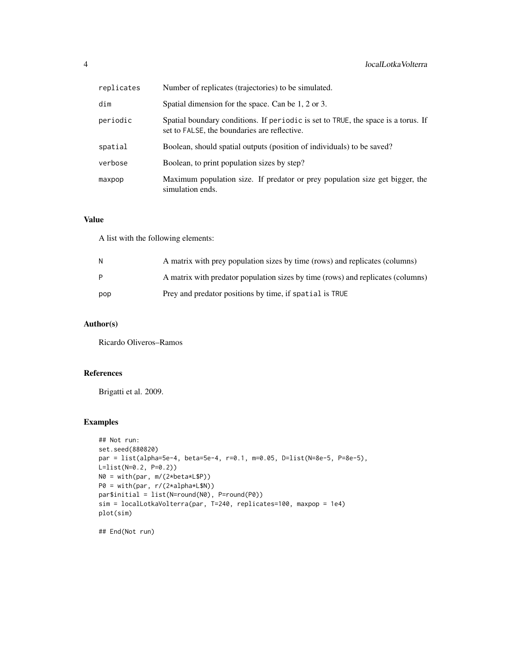| replicates | Number of replicates (trajectories) to be simulated.                                                                              |
|------------|-----------------------------------------------------------------------------------------------------------------------------------|
| dim        | Spatial dimension for the space. Can be 1, 2 or 3.                                                                                |
| periodic   | Spatial boundary conditions. If periodic is set to TRUE, the space is a torus. If<br>set to FALSE, the boundaries are reflective. |
| spatial    | Boolean, should spatial outputs (position of individuals) to be saved?                                                            |
| verbose    | Boolean, to print population sizes by step?                                                                                       |
| maxpop     | Maximum population size. If predator or prey population size get bigger, the<br>simulation ends.                                  |

#### Value

A list with the following elements:

| N   | A matrix with prey population sizes by time (rows) and replicates (columns)     |
|-----|---------------------------------------------------------------------------------|
| P   | A matrix with predator population sizes by time (rows) and replicates (columns) |
| pop | Prey and predator positions by time, if spatial is TRUE                         |

#### Author(s)

Ricardo Oliveros–Ramos

#### References

Brigatti et al. 2009.

#### Examples

```
## Not run:
set.seed(880820)
par = list(alpha=5e-4, beta=5e-4, r=0.1, m=0.05, D=list(N=8e-5, P=8e-5),
L=list(N=0.2, P=0.2))
N0 = with(par, m/(2*beta*L$P))
P0 = with(par, r/(2*alpha*L$N))
par$initial = list(N=round(N0), P=round(P0))
sim = localLotkaVolterra(par, T=240, replicates=100, maxpop = 1e4)
plot(sim)
```
## End(Not run)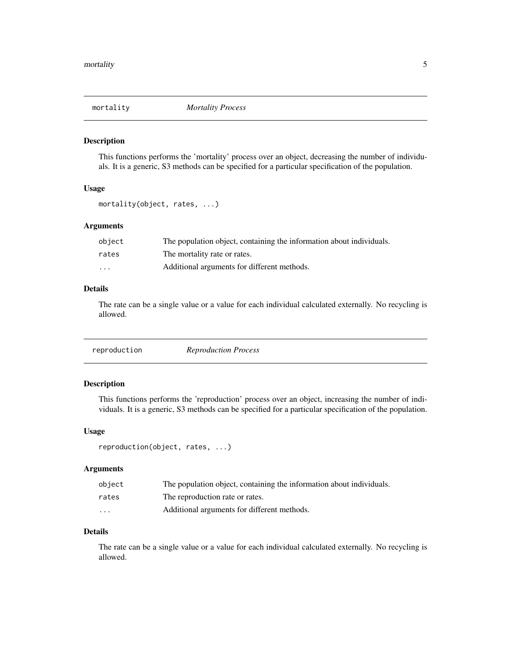<span id="page-4-0"></span>

#### Description

This functions performs the 'mortality' process over an object, decreasing the number of individuals. It is a generic, S3 methods can be specified for a particular specification of the population.

#### Usage

```
mortality(object, rates, ...)
```
#### Arguments

| obiect | The population object, containing the information about individuals. |
|--------|----------------------------------------------------------------------|
| rates  | The mortality rate or rates.                                         |
| .      | Additional arguments for different methods.                          |

#### Details

The rate can be a single value or a value for each individual calculated externally. No recycling is allowed.

|--|--|--|

#### Description

This functions performs the 'reproduction' process over an object, increasing the number of individuals. It is a generic, S3 methods can be specified for a particular specification of the population.

#### Usage

```
reproduction(object, rates, ...)
```
#### Arguments

| obiect                  | The population object, containing the information about individuals. |
|-------------------------|----------------------------------------------------------------------|
| rates                   | The reproduction rate or rates.                                      |
| $\cdot$ $\cdot$ $\cdot$ | Additional arguments for different methods.                          |

#### Details

The rate can be a single value or a value for each individual calculated externally. No recycling is allowed.